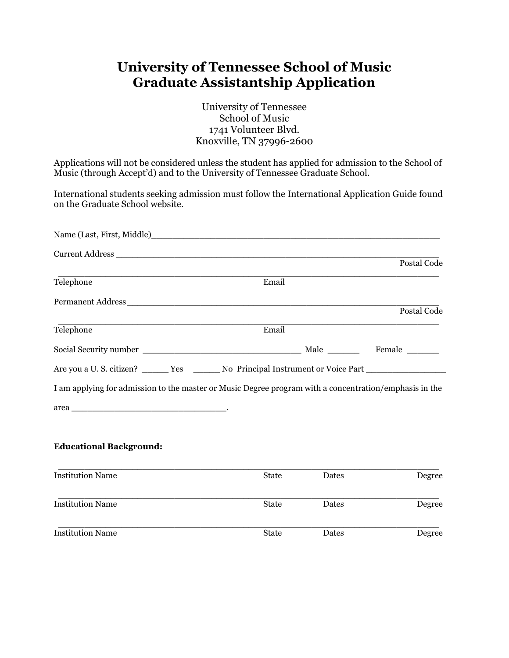## **University of Tennessee School of Music Graduate Assistantship Application**

University of Tennessee School of Music 1741 Volunteer Blvd. Knoxville, TN 37996-2600

Applications will not be considered unless the student has applied for admission to the School of Music (through Accept'd) and to the University of Tennessee Graduate School.

International students seeking admission must follow the International Application Guide found on the Graduate School website.

|                                                                                                                                                                                                                                |              |       | Postal Code |
|--------------------------------------------------------------------------------------------------------------------------------------------------------------------------------------------------------------------------------|--------------|-------|-------------|
| Telephone                                                                                                                                                                                                                      | Email        |       |             |
| Permanent Address and the contract of the contract of the contract of the contract of the contract of the contract of the contract of the contract of the contract of the contract of the contract of the contract of the cont |              |       |             |
|                                                                                                                                                                                                                                |              |       | Postal Code |
| Telephone                                                                                                                                                                                                                      | Email        |       |             |
|                                                                                                                                                                                                                                |              |       |             |
| Are you a U.S. citizen? ______ Yes ______ No Principal Instrument or Voice Part ___________________                                                                                                                            |              |       |             |
| I am applying for admission to the master or Music Degree program with a concentration/emphasis in the                                                                                                                         |              |       |             |
|                                                                                                                                                                                                                                |              |       |             |
| <b>Educational Background:</b>                                                                                                                                                                                                 |              |       |             |
| <b>Institution Name</b>                                                                                                                                                                                                        | <b>State</b> | Dates | Degree      |
| <b>Institution Name</b>                                                                                                                                                                                                        | <b>State</b> | Dates | Degree      |
| <b>Institution Name</b>                                                                                                                                                                                                        | <b>State</b> | Dates | Degree      |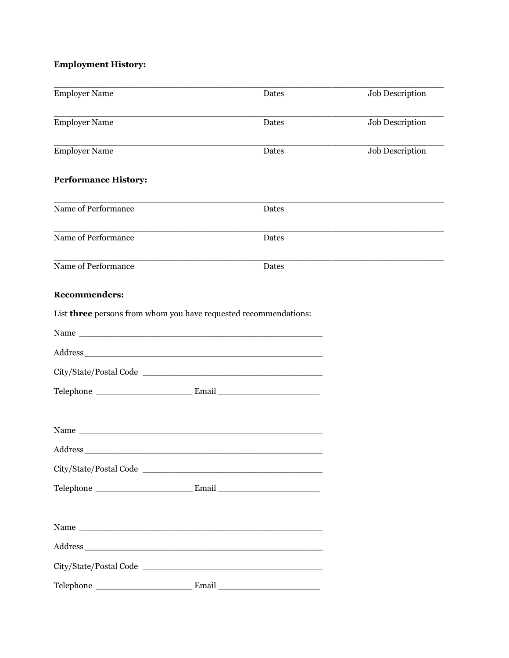## **Employment History:**

| <b>Employer Name</b>                                             | Dates | Job Description        |
|------------------------------------------------------------------|-------|------------------------|
| <b>Employer Name</b>                                             | Dates | <b>Job Description</b> |
| <b>Employer Name</b>                                             | Dates | Job Description        |
| <b>Performance History:</b>                                      |       |                        |
| Name of Performance                                              | Dates |                        |
| Name of Performance                                              | Dates |                        |
| Name of Performance                                              | Dates |                        |
| <b>Recommenders:</b>                                             |       |                        |
| List three persons from whom you have requested recommendations: |       |                        |
|                                                                  |       |                        |
|                                                                  |       |                        |
|                                                                  |       |                        |
|                                                                  |       |                        |
|                                                                  |       |                        |
|                                                                  |       |                        |
|                                                                  |       |                        |
|                                                                  |       |                        |
|                                                                  |       |                        |
|                                                                  |       |                        |
| City/State/Postal Code                                           |       |                        |
| Telephone                                                        |       |                        |